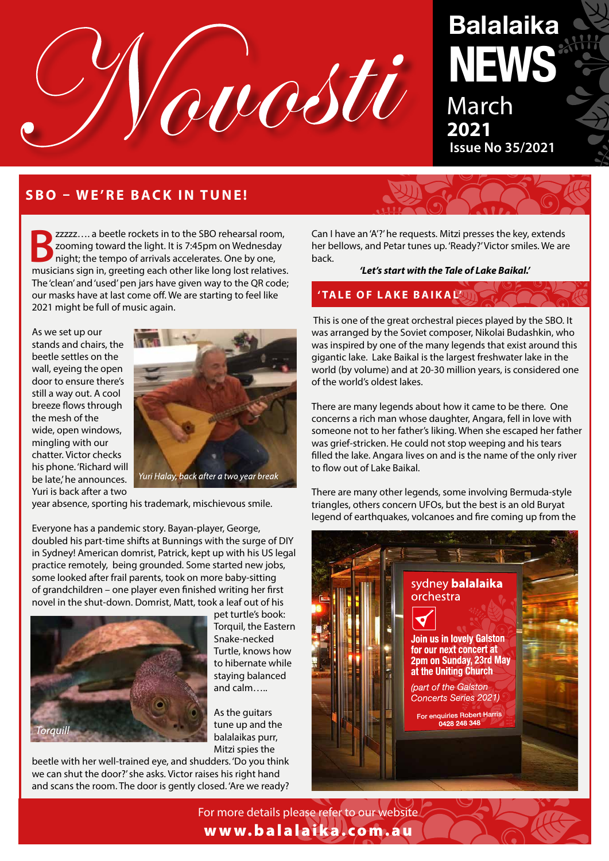

# **Balalaika NEWS** March **2021**

 **Issue No 35/2021**

# **SBO – WE'RE BACK IN TUNE!**

**B**zzzzz.... a beetle rockets in to the SBO rehearsal room, zooming toward the light. It is 7:45pm on Wednesday night; the tempo of arrivals accelerates. One by one, musicians sign in, greeting each other like long lost relatives. The 'clean' and 'used' pen jars have given way to the QR code; our masks have at last come off. We are starting to feel like 2021 might be full of music again.

As we set up our stands and chairs, the beetle settles on the wall, eyeing the open door to ensure there's still a way out. A cool breeze flows through the mesh of the wide, open windows, mingling with our chatter. Victor checks his phone. 'Richard will be late,' he announces. Yuri is back after a two



year absence, sporting his trademark, mischievous smile.

Everyone has a pandemic story. Bayan-player, George, doubled his part-time shifts at Bunnings with the surge of DIY in Sydney! American domrist, Patrick, kept up with his US legal practice remotely, being grounded. Some started new jobs, some looked after frail parents, took on more baby-sitting of grandchildren – one player even finished writing her first novel in the shut-down. Domrist, Matt, took a leaf out of his



pet turtle's book: Torquil, the Eastern Snake-necked Turtle, knows how to hibernate while staying balanced and calm…..

As the guitars tune up and the balalaikas purr, Mitzi spies the

beetle with her well-trained eye, and shudders. 'Do you think we can shut the door?' she asks. Victor raises his right hand and scans the room. The door is gently closed. 'Are we ready?

Can I have an 'A'?' he requests. Mitzi presses the key, extends her bellows, and Petar tunes up. 'Ready?' Victor smiles. We are back.

*'Let's start with the Tale of Lake Baikal.'* 

## **' TA L E O F L A K E B A I K A L'**

 This is one of the great orchestral pieces played by the SBO. It was arranged by the Soviet composer, Nikolai Budashkin, who was inspired by one of the many legends that exist around this gigantic lake. Lake Baikal is the largest freshwater lake in the world (by volume) and at 20-30 million years, is considered one of the world's oldest lakes.

There are many legends about how it came to be there. One concerns a rich man whose daughter, Angara, fell in love with someone not to her father's liking. When she escaped her father was grief-stricken. He could not stop weeping and his tears filled the lake. Angara lives on and is the name of the only river to flow out of Lake Baikal.

There are many other legends, some involving Bermuda-style triangles, others concern UFOs, but the best is an old Buryat legend of earthquakes, volcanoes and fire coming up from the



For more details please refer to our website www.balalaika.com.au